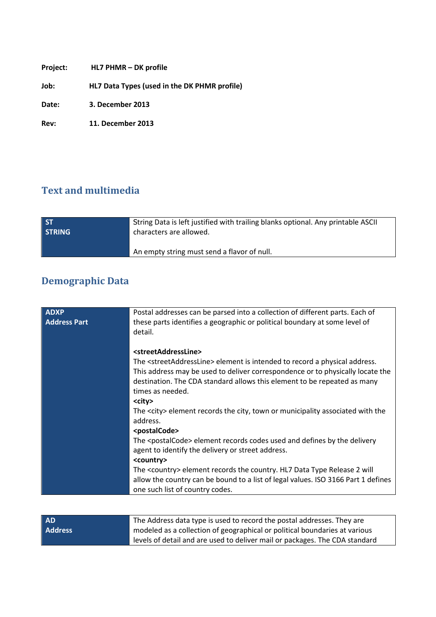| Project: | HL7 PHMR - DK profile                        |
|----------|----------------------------------------------|
| Job:     | HL7 Data Types (used in the DK PHMR profile) |
| Date:    | 3. December 2013                             |
| Rev:     | <b>11. December 2013</b>                     |

## **Text and multimedia**

| <b>ST</b>     | String Data is left justified with trailing blanks optional. Any printable ASCII |
|---------------|----------------------------------------------------------------------------------|
| <b>STRING</b> | characters are allowed.                                                          |
|               | An empty string must send a flavor of null.                                      |

## **Demographic Data**

| <b>ADXP</b>         | Postal addresses can be parsed into a collection of different parts. Each of                  |  |  |
|---------------------|-----------------------------------------------------------------------------------------------|--|--|
| <b>Address Part</b> | these parts identifies a geographic or political boundary at some level of                    |  |  |
|                     | detail.                                                                                       |  |  |
|                     |                                                                                               |  |  |
|                     | <streetaddressline></streetaddressline>                                                       |  |  |
|                     | The <streetaddressline> element is intended to record a physical address.</streetaddressline> |  |  |
|                     | This address may be used to deliver correspondence or to physically locate the                |  |  |
|                     | destination. The CDA standard allows this element to be repeated as many                      |  |  |
|                     | times as needed.                                                                              |  |  |
|                     | <city></city>                                                                                 |  |  |
|                     | The <city> element records the city, town or municipality associated with the</city>          |  |  |
|                     | address.                                                                                      |  |  |
|                     | <postalcode></postalcode>                                                                     |  |  |
|                     | The <postalcode> element records codes used and defines by the delivery</postalcode>          |  |  |
|                     | agent to identify the delivery or street address.                                             |  |  |
|                     | <country></country>                                                                           |  |  |
|                     | The <country> element records the country. HL7 Data Type Release 2 will</country>             |  |  |
|                     | allow the country can be bound to a list of legal values. ISO 3166 Part 1 defines             |  |  |
|                     | one such list of country codes.                                                               |  |  |
|                     |                                                                                               |  |  |

| <b>AD</b>      | The Address data type is used to record the postal addresses. They are      |
|----------------|-----------------------------------------------------------------------------|
| <b>Address</b> | modeled as a collection of geographical or political boundaries at various  |
|                | levels of detail and are used to deliver mail or packages. The CDA standard |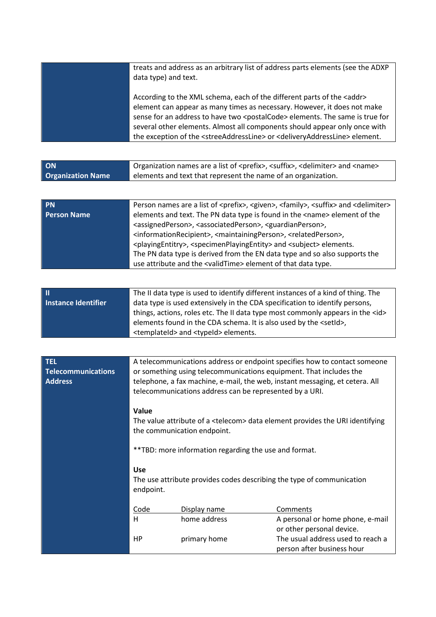| treats and address as an arbitrary list of address parts elements (see the ADXP<br>data type) and text.                                                                                                                                                                                                                                                                                                                                                        |
|----------------------------------------------------------------------------------------------------------------------------------------------------------------------------------------------------------------------------------------------------------------------------------------------------------------------------------------------------------------------------------------------------------------------------------------------------------------|
| According to the XML schema, each of the different parts of the <addr><br/>element can appear as many times as necessary. However, it does not make<br/>sense for an address to have two <postalcode> elements. The same is true for<br/>several other elements. Almost all components should appear only once with<br/>the exception of the <streeaddressline> or <deliveryaddressline> element.</deliveryaddressline></streeaddressline></postalcode></addr> |

| <b>ON</b>                | Organization names are a list of <prefix>, <suffix>, <delimiter> and <name></name></delimiter></suffix></prefix> |
|--------------------------|------------------------------------------------------------------------------------------------------------------|
| <b>Organization Name</b> | elements and text that represent the name of an organization.                                                    |

| <b>PN</b>          | Person names are a list of <prefix>, <premediation>, <family>, <suffix> and <delimiter></delimiter></suffix></family></premediation></prefix> |
|--------------------|-----------------------------------------------------------------------------------------------------------------------------------------------|
| <b>Person Name</b> | elements and text. The PN data type is found in the <name> element of the</name>                                                              |
|                    | <assignedperson>, <associatedperson>, <guardianperson>,</guardianperson></associatedperson></assignedperson>                                  |
|                    | <informationrecipient>, <maintainingperson>, <relatedperson>,</relatedperson></maintainingperson></informationrecipient>                      |
|                    | <playingentitry>, <specimenplayingentity> and <subject> elements.</subject></specimenplayingentity></playingentitry>                          |
|                    | The PN data type is derived from the EN data type and so also supports the                                                                    |
|                    | use attribute and the <validtime> element of that data type.</validtime>                                                                      |
|                    |                                                                                                                                               |

|                     | The II data type is used to identify different instances of a kind of thing. The    |  |  |  |
|---------------------|-------------------------------------------------------------------------------------|--|--|--|
| Instance Identifier | data type is used extensively in the CDA specification to identify persons,         |  |  |  |
|                     | things, actions, roles etc. The II data type most commonly appears in the <id></id> |  |  |  |
|                     | elements found in the CDA schema. It is also used by the <setid>,</setid>           |  |  |  |
|                     | <templateid> and <typeid> elements.</typeid></templateid>                           |  |  |  |

| <b>TEL</b><br><b>Telecommunications</b><br><b>Address</b> | A telecommunications address or endpoint specifies how to contact someone<br>or something using telecommunications equipment. That includes the<br>telephone, a fax machine, e-mail, the web, instant messaging, et cetera. All<br>telecommunications address can be represented by a URI.<br>Value<br>The value attribute of a <telecom> data element provides the URI identifying<br/>the communication endpoint.<br/>** TBD: more information regarding the use and format.<br/><b>Use</b><br/>The use attribute provides codes describing the type of communication<br/>endpoint.</telecom> |              |                                                                 |
|-----------------------------------------------------------|-------------------------------------------------------------------------------------------------------------------------------------------------------------------------------------------------------------------------------------------------------------------------------------------------------------------------------------------------------------------------------------------------------------------------------------------------------------------------------------------------------------------------------------------------------------------------------------------------|--------------|-----------------------------------------------------------------|
|                                                           |                                                                                                                                                                                                                                                                                                                                                                                                                                                                                                                                                                                                 |              |                                                                 |
|                                                           |                                                                                                                                                                                                                                                                                                                                                                                                                                                                                                                                                                                                 |              |                                                                 |
|                                                           |                                                                                                                                                                                                                                                                                                                                                                                                                                                                                                                                                                                                 |              |                                                                 |
|                                                           |                                                                                                                                                                                                                                                                                                                                                                                                                                                                                                                                                                                                 |              |                                                                 |
|                                                           | Code                                                                                                                                                                                                                                                                                                                                                                                                                                                                                                                                                                                            | Display name | Comments                                                        |
|                                                           | H                                                                                                                                                                                                                                                                                                                                                                                                                                                                                                                                                                                               | home address | A personal or home phone, e-mail<br>or other personal device.   |
|                                                           | HP                                                                                                                                                                                                                                                                                                                                                                                                                                                                                                                                                                                              | primary home | The usual address used to reach a<br>person after business hour |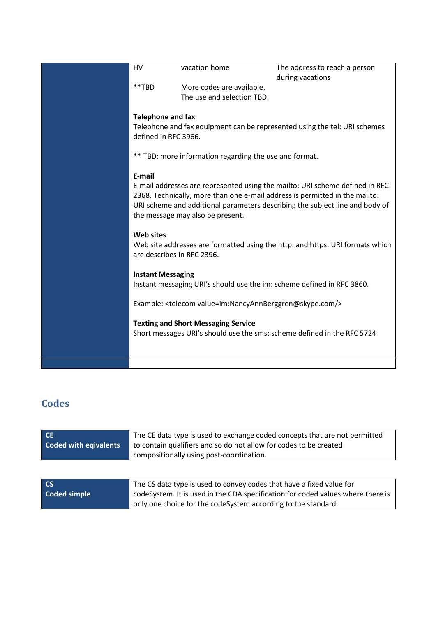| <b>HV</b>                                                                                                        | vacation home                                                       | The address to reach a person                                                 |
|------------------------------------------------------------------------------------------------------------------|---------------------------------------------------------------------|-------------------------------------------------------------------------------|
|                                                                                                                  |                                                                     | during vacations                                                              |
| **TBD                                                                                                            | More codes are available.                                           |                                                                               |
|                                                                                                                  | The use and selection TBD.                                          |                                                                               |
|                                                                                                                  |                                                                     |                                                                               |
|                                                                                                                  |                                                                     |                                                                               |
| <b>Telephone and fax</b>                                                                                         |                                                                     |                                                                               |
|                                                                                                                  |                                                                     | Telephone and fax equipment can be represented using the tel: URI schemes     |
| defined in RFC 3966.                                                                                             |                                                                     |                                                                               |
|                                                                                                                  |                                                                     |                                                                               |
|                                                                                                                  |                                                                     |                                                                               |
|                                                                                                                  | ** TBD: more information regarding the use and format.              |                                                                               |
|                                                                                                                  |                                                                     |                                                                               |
| E-mail                                                                                                           |                                                                     |                                                                               |
|                                                                                                                  |                                                                     | E-mail addresses are represented using the mailto: URI scheme defined in RFC  |
|                                                                                                                  |                                                                     |                                                                               |
| 2368. Technically, more than one e-mail address is permitted in the mailto:                                      |                                                                     |                                                                               |
| URI scheme and additional parameters describing the subject line and body of<br>the message may also be present. |                                                                     |                                                                               |
|                                                                                                                  |                                                                     |                                                                               |
|                                                                                                                  |                                                                     |                                                                               |
| <b>Web sites</b>                                                                                                 |                                                                     |                                                                               |
|                                                                                                                  |                                                                     | Web site addresses are formatted using the http: and https: URI formats which |
| are describes in RFC 2396.                                                                                       |                                                                     |                                                                               |
|                                                                                                                  |                                                                     |                                                                               |
|                                                                                                                  |                                                                     |                                                                               |
| <b>Instant Messaging</b>                                                                                         |                                                                     |                                                                               |
|                                                                                                                  |                                                                     | Instant messaging URI's should use the im: scheme defined in RFC 3860.        |
|                                                                                                                  |                                                                     |                                                                               |
|                                                                                                                  | Example: <telecom value="im:NancyAnnBerggren@skype.com/"></telecom> |                                                                               |
|                                                                                                                  |                                                                     |                                                                               |
|                                                                                                                  |                                                                     |                                                                               |
|                                                                                                                  | <b>Texting and Short Messaging Service</b>                          |                                                                               |
|                                                                                                                  |                                                                     | Short messages URI's should use the sms: scheme defined in the RFC 5724       |
|                                                                                                                  |                                                                     |                                                                               |
|                                                                                                                  |                                                                     |                                                                               |
|                                                                                                                  |                                                                     |                                                                               |
|                                                                                                                  |                                                                     |                                                                               |

## **Codes**

| <b>CE</b>                    | The CE data type is used to exchange coded concepts that are not permitted      |  |  |
|------------------------------|---------------------------------------------------------------------------------|--|--|
| <b>Coded with eqivalents</b> | to contain qualifiers and so do not allow for codes to be created               |  |  |
|                              | compositionally using post-coordination.                                        |  |  |
|                              |                                                                                 |  |  |
|                              |                                                                                 |  |  |
| CS                           | The CS data type is used to convey codes that have a fixed value for            |  |  |
| <b>Coded simple</b>          | codeSystem. It is used in the CDA specification for coded values where there is |  |  |
|                              | only one choice for the codeSystem according to the standard.                   |  |  |